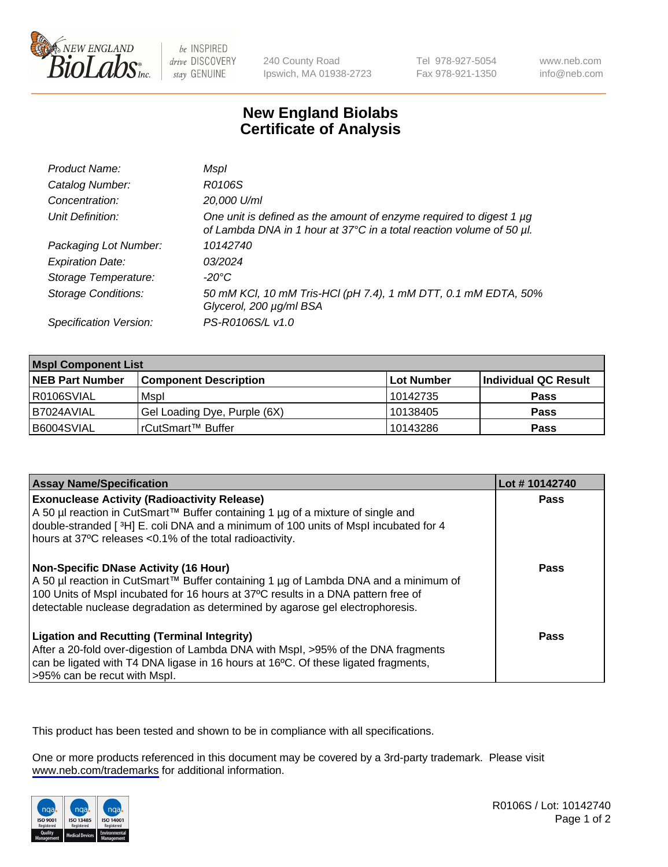

be INSPIRED drive DISCOVERY stay GENUINE

240 County Road Ipswich, MA 01938-2723 Tel 978-927-5054 Fax 978-921-1350

www.neb.com info@neb.com

## **New England Biolabs Certificate of Analysis**

| Product Name:              | Mspl                                                                                                                                        |
|----------------------------|---------------------------------------------------------------------------------------------------------------------------------------------|
| Catalog Number:            | R0106S                                                                                                                                      |
| Concentration:             | 20,000 U/ml                                                                                                                                 |
| Unit Definition:           | One unit is defined as the amount of enzyme required to digest 1 µg<br>of Lambda DNA in 1 hour at 37°C in a total reaction volume of 50 µl. |
| Packaging Lot Number:      | 10142740                                                                                                                                    |
| <b>Expiration Date:</b>    | 03/2024                                                                                                                                     |
| Storage Temperature:       | $-20^{\circ}$ C                                                                                                                             |
| <b>Storage Conditions:</b> | 50 mM KCl, 10 mM Tris-HCl (pH 7.4), 1 mM DTT, 0.1 mM EDTA, 50%<br>Glycerol, 200 µg/ml BSA                                                   |
| Specification Version:     | PS-R0106S/L v1.0                                                                                                                            |

| <b>Mspl Component List</b> |                              |            |                      |  |
|----------------------------|------------------------------|------------|----------------------|--|
| <b>NEB Part Number</b>     | <b>Component Description</b> | Lot Number | Individual QC Result |  |
| R0106SVIAL                 | Mspl                         | 10142735   | <b>Pass</b>          |  |
| I B7024AVIAL               | Gel Loading Dye, Purple (6X) | 10138405   | <b>Pass</b>          |  |
| B6004SVIAL                 | l rCutSmart™ Buffer          | 10143286   | <b>Pass</b>          |  |

| <b>Assay Name/Specification</b>                                                                                                                                                                                                                                                                    | Lot #10142740 |
|----------------------------------------------------------------------------------------------------------------------------------------------------------------------------------------------------------------------------------------------------------------------------------------------------|---------------|
| <b>Exonuclease Activity (Radioactivity Release)</b><br>  A 50 µl reaction in CutSmart™ Buffer containing 1 µg of a mixture of single and<br>double-stranded [3H] E. coli DNA and a minimum of 100 units of Mspl incubated for 4<br>hours at 37°C releases <0.1% of the total radioactivity.        | <b>Pass</b>   |
| Non-Specific DNase Activity (16 Hour)<br>A 50 µl reaction in CutSmart™ Buffer containing 1 µg of Lambda DNA and a minimum of<br>100 Units of Mspl incubated for 16 hours at 37°C results in a DNA pattern free of<br>detectable nuclease degradation as determined by agarose gel electrophoresis. | Pass          |
| <b>Ligation and Recutting (Terminal Integrity)</b><br>After a 20-fold over-digestion of Lambda DNA with Mspl, >95% of the DNA fragments<br>can be ligated with T4 DNA ligase in 16 hours at 16 <sup>o</sup> C. Of these ligated fragments,<br>>95% can be recut with Mspl.                         | Pass          |

This product has been tested and shown to be in compliance with all specifications.

One or more products referenced in this document may be covered by a 3rd-party trademark. Please visit <www.neb.com/trademarks>for additional information.